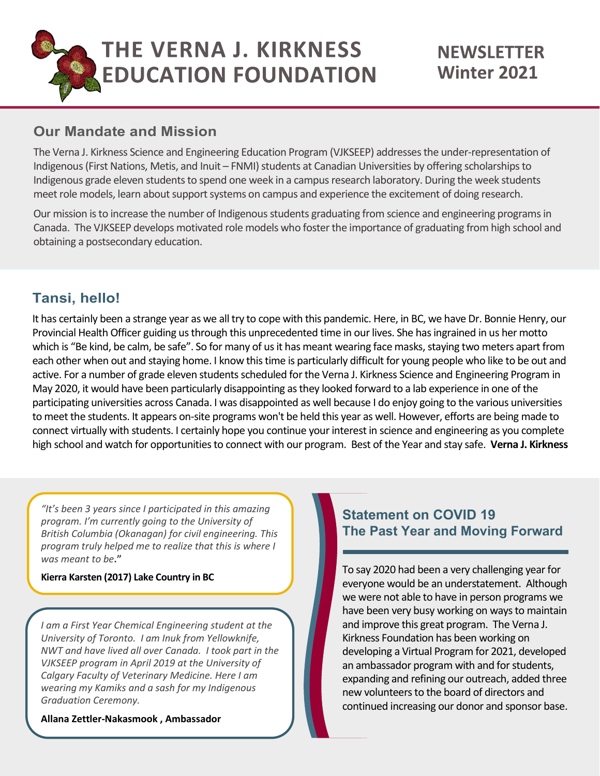

#### **Our Mandate and Mission**

The Verna J. Kirkness Science and Engineering Education Program (VJKSEEP) addresses the under-representation of Indigenous(First Nations, Metis, and Inuit – FNMI) students at Canadian Universities by offering scholarships to Indigenous grade eleven students to spend one week in a campus research laboratory. During the week students meet role models, learn about support systems on campus and experience the excitement of doing research.

Our mission is to increase the number of Indigenous students graduating from science and engineering programs in Canada. The VJKSEEP develops motivated role models who foster the importance of graduating from high school and obtaining a postsecondary education.

# **Tansi, hello!**

It has certainly been a strange year as we all try to cope with this pandemic. Here, in BC, we have Dr. Bonnie Henry, our Provincial Health Officer guiding us through this unprecedented time in our lives. She has ingrained in us her motto which is "Be kind, be calm, be safe". So for many of us it has meant wearing face masks, staying two meters apart from each other when out and staying home. I know this time is particularly difficult for young people who like to be out and active. For a number of grade eleven students scheduled for the Verna J. Kirkness Science and Engineering Program in May 2020, it would have been particularly disappointing as they looked forward to a lab experience in one of the participating universities across Canada. I was disappointed as well because I do enjoy going to the various universities to meet the students. It appears on-site programs won't be held this year as well. However, efforts are being made to connect virtually with students. I certainly hope you continue your interest in science and engineering as you complete high school and watch for opportunities to connect with our program. Best of the Year and stay safe. **Verna J. Kirkness**

*"It's been 3 years since I participated in this amazing program. I'm currently going to the University of British Columbia (Okanagan) for civil engineering. This program truly helped me to realize that this is where I was meant to be***."**

#### **Kierra Karsten (2017) Lake Country in BC**

*I am a First Year Chemical Engineering student at the University of Toronto. I am Inuk from Yellowknife, NWT and have lived all over Canada. I took part in the VJKSEEP program in April 2019 at the University of Calgary Faculty of Veterinary Medicine. Here I am wearing my Kamiks and a sash for my Indigenous Graduation Ceremony.*

#### **Allana Zettler-Nakasmook , Ambassador**

#### **Statement on COVID 19 The Past Year and Moving Forward**

To say 2020 had been a very challenging year for everyone would be an understatement. Although we were not able to have in person programs we have been very busy working on ways to maintain and improve this great program. The Verna J. Kirkness Foundation has been working on developing a Virtual Program for 2021, developed an ambassador program with and for students, expanding and refining our outreach, added three new volunteers to the board of directors and continued increasing our donor and sponsor base.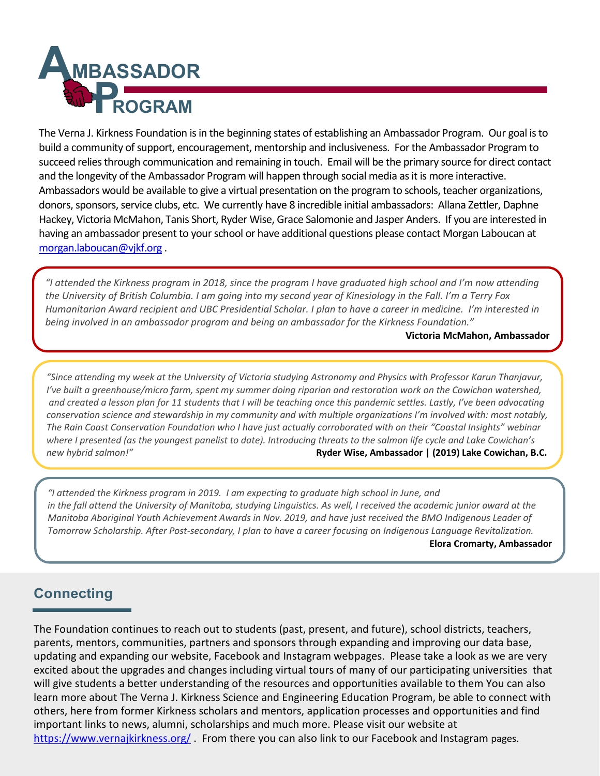

The Verna J. Kirkness Foundation is in the beginning states of establishing an Ambassador Program. Our goal is to build a community of support, encouragement, mentorship and inclusiveness. For the Ambassador Program to succeed relies through communication and remaining in touch. Email will be the primary source for direct contact and the longevity of the Ambassador Program will happen through social media as it is more interactive. Ambassadors would be available to give a virtual presentation on the program to schools, teacher organizations, donors, sponsors, service clubs, etc. We currently have 8 incredible initial ambassadors: Allana Zettler, Daphne Hackey, Victoria McMahon, Tanis Short, Ryder Wise, Grace Salomonie and Jasper Anders. If you are interested in having an ambassador present to your school or have additional questions please contact Morgan Laboucan at morgan.laboucan@vjkf.org .

*"I attended the Kirkness program in 2018, since the program I have graduated high school and I'm now attending the University of British Columbia. I am going into my second year of Kinesiology in the Fall. I'm a Terry Fox Humanitarian Award recipient and UBC Presidential Scholar. I plan to have a career in medicine. I'm interested in being involved in an ambassador program and being an ambassador for the Kirkness Foundation."*

#### **Victoria McMahon, Ambassador**

*"Since attending my week at the University of Victoria studying Astronomy and Physics with Professor Karun Thanjavur, I've built a greenhouse/micro farm, spent my summer doing riparian and restoration work on the Cowichan watershed, and created a lesson plan for 11 students that I will be teaching once this pandemic settles. Lastly, I've been advocating conservation science and stewardship in my community and with multiple organizations I'm involved with: most notably, The Rain Coast Conservation Foundation who I have just actually corroborated with on their "Coastal Insights" webinar where I presented (as the youngest panelist to date). Introducing threats to the salmon life cycle and Lake Cowichan's new hybrid salmon!"* **Ryder Wise, Ambassador | (2019) Lake Cowichan, B.C.**

*"I attended the Kirkness program in 2019. I am expecting to graduate high school in June, and in the fall attend the University of Manitoba, studying Linguistics. As well, I received the academic junior award at the Manitoba Aboriginal Youth Achievement Awards in Nov. 2019, and have just received the BMO Indigenous Leader of Tomorrow Scholarship. After Post-secondary, I plan to have a career focusing on Indigenous Language Revitalization.* **Elora Cromarty, Ambassador**

# **Connecting**

The Foundation continues to reach out to students (past, present, and future), school districts, teachers, parents, mentors, communities, partners and sponsors through expanding and improving our data base, updating and expanding our website, Facebook and Instagram webpages. Please take a look as we are very excited about the upgrades and changes including virtual tours of many of our participating universities that will give students a better understanding of the resources and opportunities available to them You can also learn more about The Verna J. Kirkness Science and Engineering Education Program, be able to connect with others, here from former Kirkness scholars and mentors, application processes and opportunities and find important links to news, alumni, scholarships and much more. Please visit our website at https://www.vernajkirkness.org/. From there you can also link to our Facebook and Instagram pages.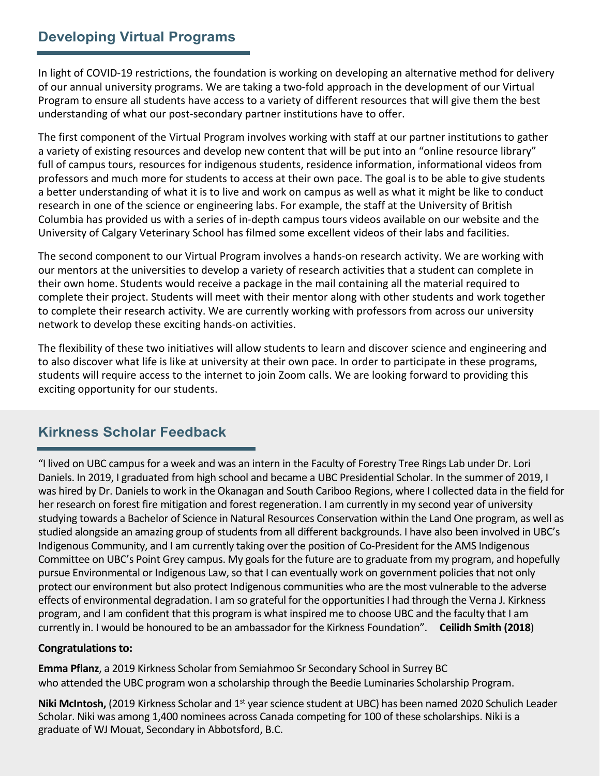# **Developing Virtual Programs**

In light of COVID-19 restrictions, the foundation is working on developing an alternative method for delivery of our annual university programs. We are taking a two-fold approach in the development of our Virtual Program to ensure all students have access to a variety of different resources that will give them the best understanding of what our post-secondary partner institutions have to offer.

The first component of the Virtual Program involves working with staff at our partner institutions to gather a variety of existing resources and develop new content that will be put into an "online resource library" full of campus tours, resources for indigenous students, residence information, informational videos from professors and much more for students to access at their own pace. The goal is to be able to give students a better understanding of what it is to live and work on campus as well as what it might be like to conduct research in one of the science or engineering labs. For example, the staff at the University of British Columbia has provided us with a series of in-depth campus tours videos available on our website and the University of Calgary Veterinary School has filmed some excellent videos of their labs and facilities.

The second component to our Virtual Program involves a hands-on research activity. We are working with our mentors at the universities to develop a variety of research activities that a student can complete in their own home. Students would receive a package in the mail containing all the material required to complete their project. Students will meet with their mentor along with other students and work together to complete their research activity. We are currently working with professors from across our university network to develop these exciting hands-on activities.

The flexibility of these two initiatives will allow students to learn and discover science and engineering and to also discover what life is like at university at their own pace. In order to participate in these programs, students will require access to the internet to join Zoom calls. We are looking forward to providing this exciting opportunity for our students.

# **Kirkness Scholar Feedback**

"I lived on UBC campus for a week and was an intern in the Faculty of Forestry Tree Rings Lab under Dr. Lori Daniels. In 2019, I graduated from high school and became a UBC Presidential Scholar. In the summer of 2019, I was hired by Dr. Daniels to work in the Okanagan and South Cariboo Regions, where I collected data in the field for her research on forest fire mitigation and forest regeneration. I am currently in my second year of university studying towards a Bachelor of Science in Natural Resources Conservation within the Land One program, as well as studied alongside an amazing group of students from all different backgrounds. I have also been involved in UBC's Indigenous Community, and I am currently taking over the position of Co-President for the AMS Indigenous Committee on UBC's Point Grey campus. My goals for the future are to graduate from my program, and hopefully pursue Environmental or Indigenous Law, so that I can eventually work on government policies that not only protect our environment but also protect Indigenous communities who are the most vulnerable to the adverse effects of environmental degradation. I am so grateful for the opportunities I had through the Verna J. Kirkness program, and I am confident that this program is what inspired me to choose UBC and the faculty that I am currently in. I would be honoured to be an ambassador for the Kirkness Foundation". **Ceilidh Smith (2018**)

#### **Congratulations to:**

**Emma Pflanz**, a 2019 Kirkness Scholar from Semiahmoo Sr Secondary School in Surrey BC who attended the UBC program won a scholarship through the Beedie Luminaries Scholarship Program.

Niki McIntosh, (2019 Kirkness Scholar and 1<sup>st</sup> year science student at UBC) has been named 2020 Schulich Leader Scholar. Niki was among 1,400 nominees across Canada competing for 100 of these scholarships. Niki is a graduate of WJ Mouat, Secondary in Abbotsford, B.C.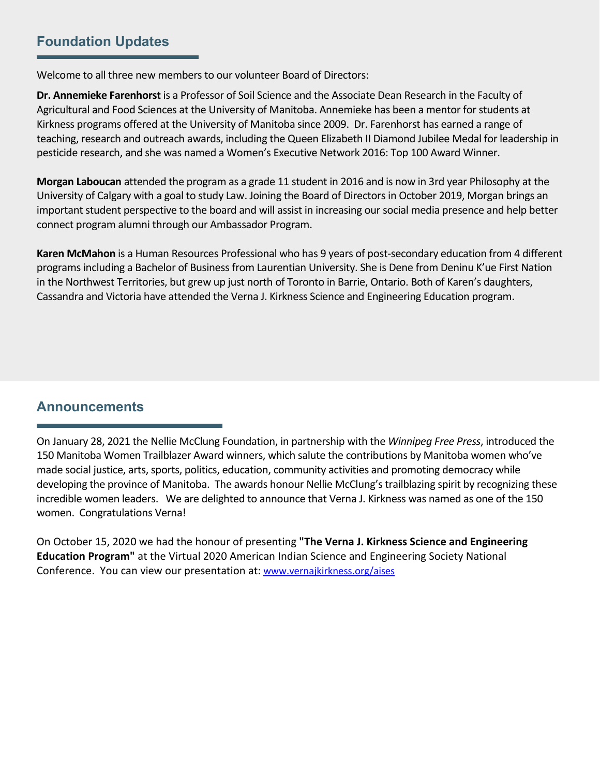#### **Foundation Updates**

Welcome to all three new members to our volunteer Board of Directors:

**Dr. Annemieke Farenhorst** is a Professor of Soil Science and the Associate Dean Research in the Faculty of Agricultural and Food Sciences at the University of Manitoba. Annemieke has been a mentor forstudents at Kirkness programs offered at the University of Manitoba since 2009. Dr. Farenhorst has earned a range of teaching, research and outreach awards, including the Queen Elizabeth II Diamond Jubilee Medal for leadership in pesticide research, and she was named a Women's Executive Network 2016: Top 100 Award Winner.

**Morgan Laboucan** attended the program as a grade 11 student in 2016 and is now in 3rd year Philosophy at the University of Calgary with a goal to study Law. Joining the Board of Directorsin October 2019, Morgan brings an important student perspective to the board and will assist in increasing our social media presence and help better connect program alumni through our Ambassador Program.

**Karen McMahon** is a Human Resources Professional who has 9 years of post-secondary education from 4 different programsincluding a Bachelor of Businessfrom Laurentian University. She is Dene from Deninu K'ue First Nation in the Northwest Territories, but grew up just north of Toronto in Barrie, Ontario. Both of Karen's daughters, Cassandra and Victoria have attended the Verna J. Kirkness Science and Engineering Education program.

#### **Announcements**

On January 28, 2021 the Nellie McClung Foundation, in partnership with the *Winnipeg Free Press*, introduced the 150 Manitoba Women Trailblazer Award winners, which salute the contributions by Manitoba women who've made social justice, arts, sports, politics, education, community activities and promoting democracy while developing the province of Manitoba. The awards honour Nellie McClung's trailblazing spirit by recognizing these incredible women leaders. We are delighted to announce that Verna J. Kirkness was named as one of the 150 women. Congratulations Verna!

On October 15, 2020 we had the honour of presenting **"The Verna J. Kirkness Science and Engineering Education Program"** at the Virtual 2020 American Indian Science and Engineering Society National Conference. You can view our presentation at: www.vernajkirkness.org/aises